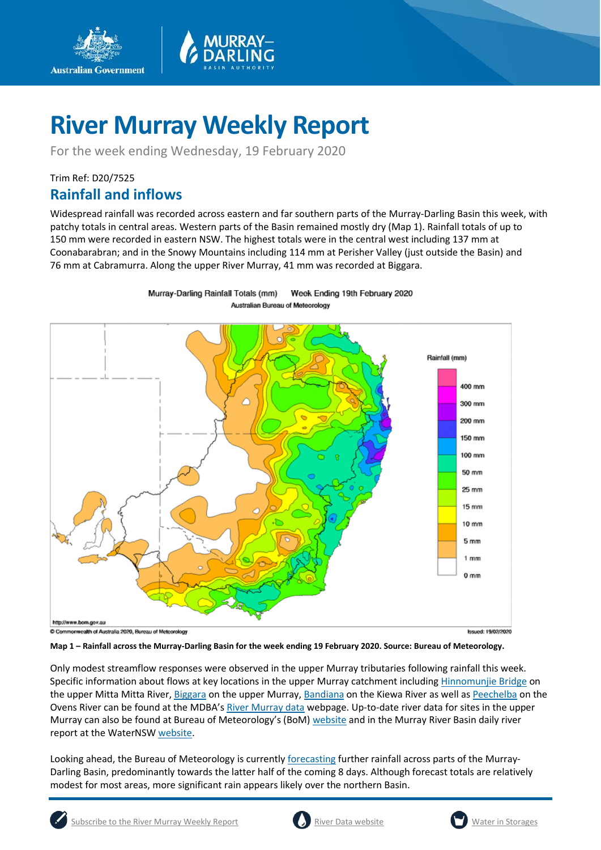

Murray-Darling Rainfall Totals (mm)

For the week ending Wednesday, 19 February 2020

### Trim Ref: D20/7525

**Australian Government** 

### **Rainfall and inflows**

Widespread rainfall was recorded across eastern and far southern parts of the Murray-Darling Basin this week, with patchy totals in central areas. Western parts of the Basin remained mostly dry (Map 1). Rainfall totals of up to 150 mm were recorded in eastern NSW. The highest totals were in the central west including 137 mm at Coonabarabran; and in the Snowy Mountains including 114 mm at Perisher Valley (just outside the Basin) and 76 mm at Cabramurra. Along the upper River Murray, 41 mm was recorded at Biggara.

Week Ending 19th February 2020



C Commonwealth of Australia 2020, Bureau of Meteorology

**Issued: 19/02/2020** 

#### **Map 1 – Rainfall across the Murray-Darling Basin for the week ending 19 February 2020. Source: Bureau of Meteorology.**

Only modest streamflow responses were observed in the upper Murray tributaries following rainfall this week. Specific information about flows at key locations in the upper Murray catchment including [Hinnomunjie Bridge](https://riverdata.mdba.gov.au/hinnomunjie) on the upper Mitta Mitta River[, Biggara](https://riverdata.mdba.gov.au/biggara) on the upper Murray, [Bandiana](https://riverdata.mdba.gov.au/bandiana) on the Kiewa River as well a[s Peechelba](https://riverdata.mdba.gov.au/peechelba) on the Ovens River can be found at the MDBA'[s River Murray data](https://riverdata.mdba.gov.au/system-view) webpage. Up-to-date river data for sites in the upper Murray can also be found at Bureau of Meteorology's (BoM[\) website](http://www.bom.gov.au/cgi-bin/wrap_fwo.pl?IDV60151.html) and in the Murray River Basin daily river report at the WaterNSW [website.](https://realtimedata.waternsw.com.au/water.stm)

Looking ahead, the Bureau of Meteorology is currently [forecasting](http://www.bom.gov.au/jsp/watl/rainfall/pme.jsp) further rainfall across parts of the Murray-Darling Basin, predominantly towards the latter half of the coming 8 days. Although forecast totals are relatively modest for most areas, more significant rain appears likely over the northern Basin.





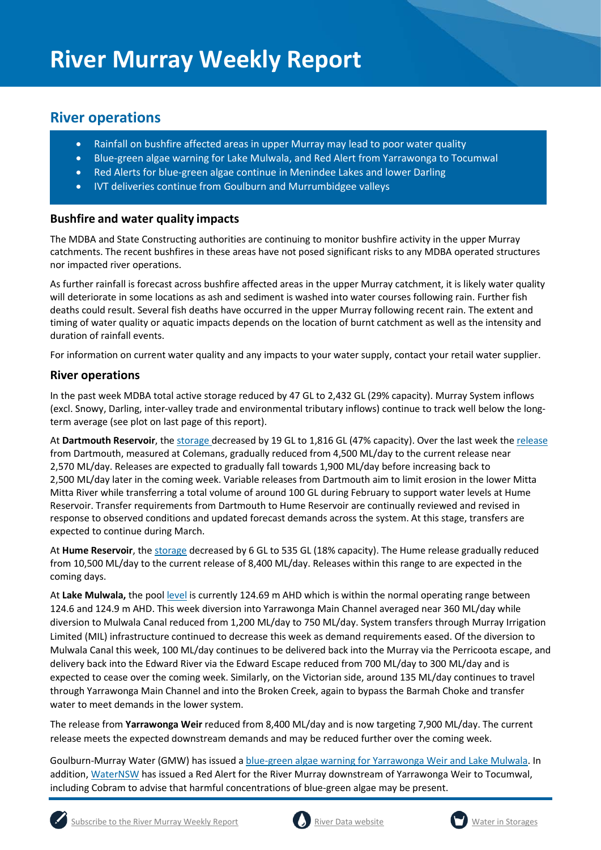### **River operations**

- Rainfall on bushfire affected areas in upper Murray may lead to poor water quality
- Blue-green algae warning for Lake Mulwala, and Red Alert from Yarrawonga to Tocumwal
- Red Alerts for blue-green algae continue in Menindee Lakes and lower Darling
- IVT deliveries continue from Goulburn and Murrumbidgee valleys

#### **Bushfire and water quality impacts**

The MDBA and State Constructing authorities are continuing to monitor bushfire activity in the upper Murray catchments. The recent bushfires in these areas have not posed significant risks to any MDBA operated structures nor impacted river operations.

As further rainfall is forecast across bushfire affected areas in the upper Murray catchment, it is likely water quality will deteriorate in some locations as ash and sediment is washed into water courses following rain. Further fish deaths could result. Several fish deaths have occurred in the upper Murray following recent rain. The extent and timing of water quality or aquatic impacts depends on the location of burnt catchment as well as the intensity and duration of rainfall events.

For information on current water quality and any impacts to your water supply, contact your retail water supplier.

#### **River operations**

In the past week MDBA total active storage reduced by 47 GL to 2,432 GL (29% capacity). Murray System inflows (excl. Snowy, Darling, inter-valley trade and environmental tributary inflows) continue to track well below the longterm average (see plot on last page of this report).

At **Dartmouth Reservoir**, the [storage](https://riverdata.mdba.gov.au/dartmouth-dam) decreased by 19 GL to 1,816 GL (47% capacity). Over the last week the [release](https://riverdata.mdba.gov.au/colemans) from Dartmouth, measured at Colemans, gradually reduced from 4,500 ML/day to the current release near 2,570 ML/day. Releases are expected to gradually fall towards 1,900 ML/day before increasing back to 2,500 ML/day later in the coming week. Variable releases from Dartmouth aim to limit erosion in the lower Mitta Mitta River while transferring a total volume of around 100 GL during February to support water levels at Hume Reservoir. Transfer requirements from Dartmouth to Hume Reservoir are continually reviewed and revised in response to observed conditions and updated forecast demands across the system. At this stage, transfers are expected to continue during March.

At Hume Reservoir, the [storage](https://riverdata.mdba.gov.au/hume-dam) decreased by 6 GL to 535 GL (18% capacity). The Hume release gradually reduced from 10,500 ML/day to the current release of 8,400 ML/day. Releases within this range to are expected in the coming days.

At **Lake Mulwala,** the pool [level](https://riverdata.mdba.gov.au/yarrawonga-weir-upstream) is currently 124.69 m AHD which is within the normal operating range between 124.6 and 124.9 m AHD. This week diversion into Yarrawonga Main Channel averaged near 360 ML/day while diversion to Mulwala Canal reduced from 1,200 ML/day to 750 ML/day. System transfers through Murray Irrigation Limited (MIL) infrastructure continued to decrease this week as demand requirements eased. Of the diversion to Mulwala Canal this week, 100 ML/day continues to be delivered back into the Murray via the Perricoota escape, and delivery back into the Edward River via the Edward Escape reduced from 700 ML/day to 300 ML/day and is expected to cease over the coming week. Similarly, on the Victorian side, around 135 ML/day continues to travel through Yarrawonga Main Channel and into the Broken Creek, again to bypass the Barmah Choke and transfer water to meet demands in the lower system.

The release from **Yarrawonga Weir** reduced from 8,400 ML/day and is now targeting 7,900 ML/day. The current release meets the expected downstream demands and may be reduced further over the coming week.

Goulburn-Murray Water (GMW) has issued a [blue-green algae warning for Yarrawonga Weir and Lake Mulwala.](https://www.g-mwater.com.au/news/media-releases1/blue-green-algae-warning-for-yarrwonga-weir-lake-mulwala.html) In addition, [WaterNSW](https://www.waternsw.com.au/water-quality/algae) has issued a Red Alert for the River Murray downstream of Yarrawonga Weir to Tocumwal, including Cobram to advise that harmful concentrations of blue-green algae may be present.





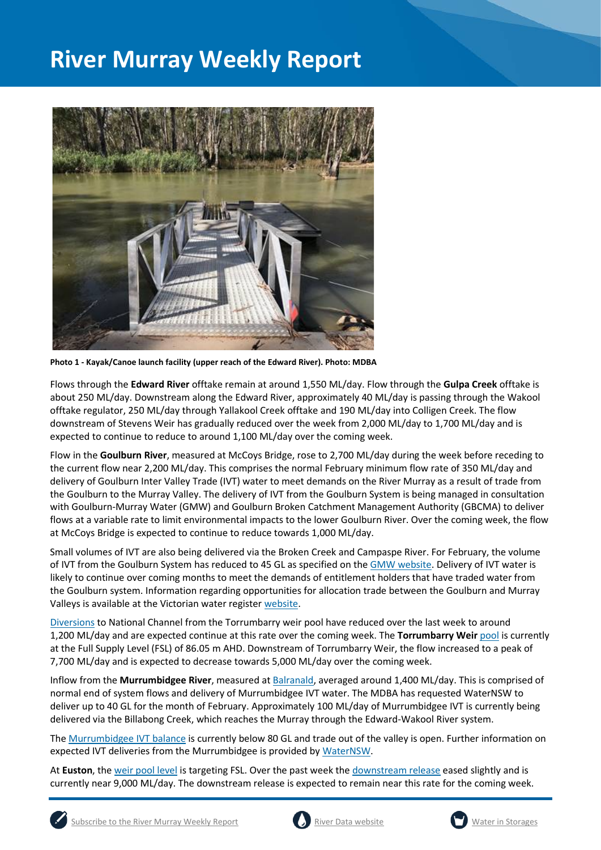

**Photo 1 - Kayak/Canoe launch facility (upper reach of the Edward River). Photo: MDBA**

Flows through the **Edward River** offtake remain at around 1,550 ML/day. Flow through the **Gulpa Creek** offtake is about 250 ML/day. Downstream along the Edward River, approximately 40 ML/day is passing through the Wakool offtake regulator, 250 ML/day through Yallakool Creek offtake and 190 ML/day into Colligen Creek. The flow downstream of Stevens Weir has gradually reduced over the week from 2,000 ML/day to 1,700 ML/day and is expected to continue to reduce to around 1,100 ML/day over the coming week.

Flow in the **Goulburn River**, measured at McCoys Bridge, rose to 2,700 ML/day during the week before receding to the current flow near 2,200 ML/day. This comprises the normal February minimum flow rate of 350 ML/day and delivery of Goulburn Inter Valley Trade (IVT) water to meet demands on the River Murray as a result of trade from the Goulburn to the Murray Valley. The delivery of IVT from the Goulburn System is being managed in consultation with Goulburn-Murray Water (GMW) and Goulburn Broken Catchment Management Authority (GBCMA) to deliver flows at a variable rate to limit environmental impacts to the lower Goulburn River. Over the coming week, the flow at McCoys Bridge is expected to continue to reduce towards 1,000 ML/day.

Small volumes of IVT are also being delivered via the Broken Creek and Campaspe River. For February, the volume of IVT from the Goulburn System has reduced to 45 GL as specified on the [GMW website.](https://www.g-mwater.com.au/water-resources/managing-water-storages) Delivery of IVT water is likely to continue over coming months to meet the demands of entitlement holders that have traded water from the Goulburn system. Information regarding opportunities for allocation trade between the Goulburn and Murray Valleys is available at the Victorian water register [website.](http://waterregister.vic.gov.au/water-trading/allocation-trading#AllocationTradeOpportunities)

[Diversions](https://riverdata.mdba.gov.au/national-channel-ds-torrumbarry-headworks) to National Channel from the Torrumbarry weir pool have reduced over the last week to around 1,200 ML/day and are expected continue at this rate over the coming week. The **Torrumbarry Weir** [pool](https://riverdata.mdba.gov.au/torrumbarry-weir-lock-26) is currently at the Full Supply Level (FSL) of 86.05 m AHD. Downstream of Torrumbarry Weir, the flow increased to a peak of 7,700 ML/day and is expected to decrease towards 5,000 ML/day over the coming week.

Inflow from the **Murrumbidgee River**, measured a[t Balranald,](https://riverdata.mdba.gov.au/balranald-weir-downstream) averaged around 1,400 ML/day. This is comprised of normal end of system flows and delivery of Murrumbidgee IVT water. The MDBA has requested WaterNSW to deliver up to 40 GL for the month of February. Approximately 100 ML/day of Murrumbidgee IVT is currently being delivered via the Billabong Creek, which reaches the Murray through the Edward-Wakool River system.

The [Murrumbidgee IVT balance](https://www.waternsw.com.au/customer-service/ordering-trading-and-pricing/trading/murrumbidgee) is currently below 80 GL and trade out of the valley is open. Further information on expected IVT deliveries from the Murrumbidgee is provided b[y WaterNSW.](https://www.waternsw.com.au/customer-service/ordering-trading-and-pricing/trading/murrumbidgee)

At **Euston**, the [weir pool level](https://riverdata.mdba.gov.au/euston-weir-upstream) is targeting FSL. Over the past week the [downstream release](https://riverdata.mdba.gov.au/euston-weir-downstream) eased slightly and is currently near 9,000 ML/day. The downstream release is expected to remain near this rate for the coming week.





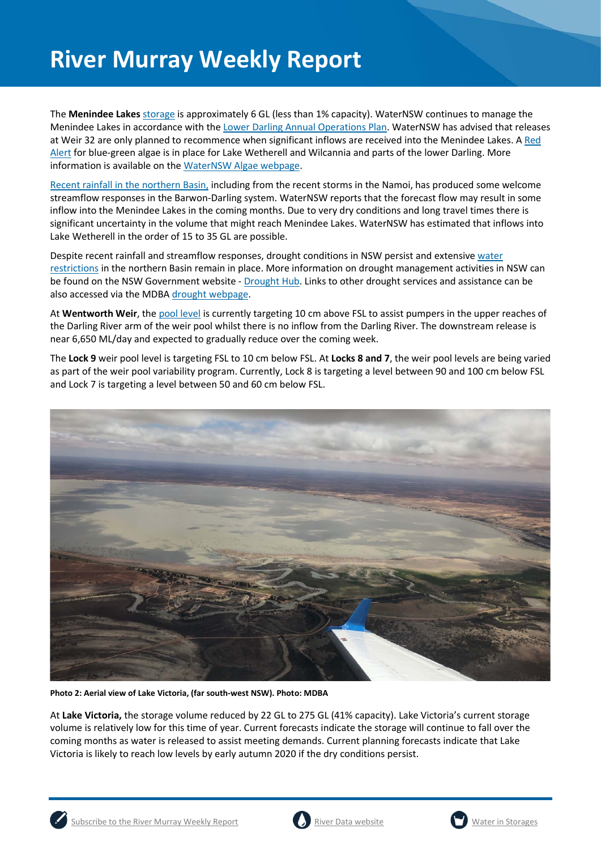The **Menindee Lakes** storage is approximately 6 GL (less than 1% capacity). WaterNSW continues to manage the Menindee Lakes in accordance with the [Lower Darling Annual Operations Plan.](https://www.waternsw.com.au/supply/regional-nsw/operations) WaterNSW has advised that releases at Weir 32 are only planned to recommence when significant inflows are received into the Menindee Lakes. [A Red](https://www.waternsw.com.au/about/newsroom/2019/blue-green-algae-red-alert-for-lake-wetherell-site-3,-upstream-from-menindee)  [Alert](https://www.waternsw.com.au/about/newsroom/2019/blue-green-algae-red-alert-for-lake-wetherell-site-3,-upstream-from-menindee) for blue-green algae is in place for Lake Wetherell and Wilcannia and parts of the lower Darling. More information is available on the [WaterNSW Algae webpage.](https://www.waternsw.com.au/water-quality/algae)

[Recent rainfall in the northern Basin,](https://www.waternsw.com.au/__data/assets/pdf_file/0004/153832/Barwon-Darling-flow-from-Feb-2020-rainfall-event-17-Feb-2020.pdf) including from the recent storms in the Namoi, has produced some welcome streamflow responses in the Barwon-Darling system. WaterNSW reports that the forecast flow may result in some inflow into the Menindee Lakes in the coming months. Due to very dry conditions and long travel times there is significant uncertainty in the volume that might reach Menindee Lakes. WaterNSW has estimated that inflows into Lake Wetherell in the order of 15 to 35 GL are possible.

Despite recent rainfall and streamflow responses, drought conditions in NSW persist and extensive [water](https://www.industry.nsw.gov.au/water/allocations-availability/temporary-water-restrictions)  [restrictions](https://www.industry.nsw.gov.au/water/allocations-availability/temporary-water-restrictions) in the northern Basin remain in place. More information on drought management activities in NSW can be found on the NSW Government website - [Drought Hub.](https://www.dpi.nsw.gov.au/climate-and-emergencies/droughthub) Links to other drought services and assistance can be also accessed via the MDB[A drought webpage.](https://www.mdba.gov.au/managing-water/drought-murray-darling-basin)

At Wentworth Weir, th[e pool level](https://riverdata.mdba.gov.au/wentworth-weir-lock-10) is currently targeting 10 cm above FSL to assist pumpers in the upper reaches of the Darling River arm of the weir pool whilst there is no inflow from the Darling River. The downstream release is near 6,650 ML/day and expected to gradually reduce over the coming week.

The **Lock 9** weir pool level is targeting FSL to 10 cm below FSL. At **Locks 8 and 7**, the weir pool levels are being varied as part of the weir pool variability program. Currently, Lock 8 is targeting a level between 90 and 100 cm below FSL and Lock 7 is targeting a level between 50 and 60 cm below FSL.



**Photo 2: Aerial view of Lake Victoria, (far south-west NSW). Photo: MDBA**

At **Lake Victoria,** the storage volume reduced by 22 GL to 275 GL (41% capacity). Lake Victoria's current storage volume is relatively low for this time of year. Current forecasts indicate the storage will continue to fall over the coming months as water is released to assist meeting demands. Current planning forecasts indicate that Lake Victoria is likely to reach low levels by early autumn 2020 if the dry conditions persist.



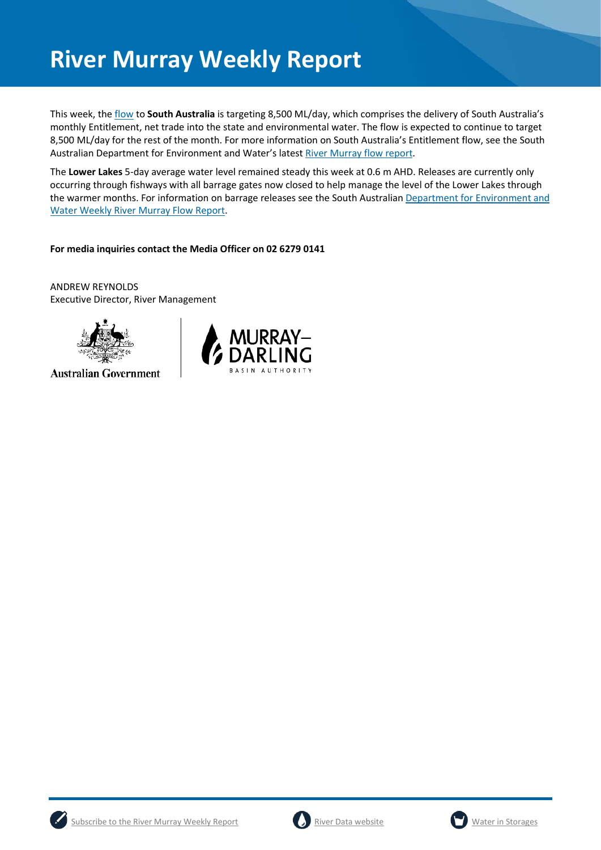This week, th[e flow](https://riverdata.mdba.gov.au/flow-south-australia-calculated) to **South Australia** is targeting 8,500 ML/day, which comprises the delivery of South Australia's monthly Entitlement, net trade into the state and environmental water. The flow is expected to continue to target 8,500 ML/day for the rest of the month. For more information on South Australia's Entitlement flow, see the South Australian Department for Environment and Water's latest [River Murray flow report.](https://www.waterconnect.sa.gov.au/River-Murray/SitePages/2019%20Flow%20Reports.aspx)

The **Lower Lakes** 5-day average water level remained steady this week at 0.6 m AHD. Releases are currently only occurring through fishways with all barrage gates now closed to help manage the level of the Lower Lakes through the warmer months. For information on barrage releases see the South Australian [Department for Environment and](https://www.waterconnect.sa.gov.au/River-Murray/SitePages/River%20Murray%20Flow%20Reports.aspx)  [Water Weekly River Murray Flow Report.](https://www.waterconnect.sa.gov.au/River-Murray/SitePages/River%20Murray%20Flow%20Reports.aspx)

#### **For media inquiries contact the Media Officer on 02 6279 0141**

ANDREW REYNOLDS Executive Director, River Management



**Australian Government** 







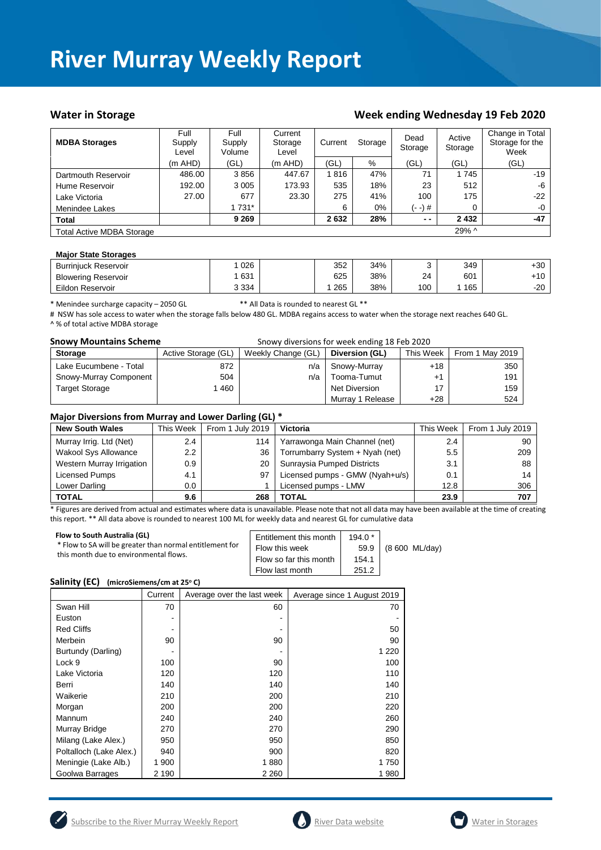#### Water in Storage Week ending Wednesday 19 Feb 2020

| <b>MDBA Storages</b>             | Full<br>Supply<br>Level | Full<br>Supply<br>Volume | Current<br>Storage<br>Level | Current | Storage | Dead<br>Storage | Active<br>Storage | Change in Total<br>Storage for the<br>Week |
|----------------------------------|-------------------------|--------------------------|-----------------------------|---------|---------|-----------------|-------------------|--------------------------------------------|
|                                  | $(m$ AHD $)$            | (GL)                     | $(m$ AHD)                   | 'GL)    | $\%$    | (GL)            | (GL)              | (GL)                                       |
| Dartmouth Reservoir              | 486.00                  | 3856                     | 447.67                      | 1816    | 47%     | 71              | 1745              | $-19$                                      |
| Hume Reservoir                   | 192.00                  | 3 0 0 5                  | 173.93                      | 535     | 18%     | 23              | 512               | -6                                         |
| Lake Victoria                    | 27.00                   | 677                      | 23.30                       | 275     | 41%     | 100             | 175               | $-22$                                      |
| Menindee Lakes                   |                         | 1 731*                   |                             | 6       | $0\%$   | (- -) #         | 0                 | $-0$                                       |
| <b>Total</b>                     |                         | 9 2 6 9                  |                             | 2632    | 28%     | $ -$            | 2432              | $-47$                                      |
| <b>Total Active MDBA Storage</b> |                         |                          |                             |         |         |                 | 29% ^             |                                            |

#### **Major State Storages**

| <b>Burriniuck Reservoir</b> | 026     | 352 | 34% |     | 349 | $+30$ |
|-----------------------------|---------|-----|-----|-----|-----|-------|
| <b>Blowering Reservoir</b>  | 631     | 625 | 38% | 24  | 601 | +10   |
| Eildon Reservoir            | 3 3 3 4 | 265 | 38% | 100 | 165 | -20   |

\* Menindee surcharge capacity – 2050 GL \*\* All Data is rounded to nearest GL \*\*

# NSW has sole access to water when the storage falls below 480 GL. MDBA regains access to water when the storage next reaches 640 GL. ^ % of total active MDBA storage

| <b>Snowy Mountains Scheme</b><br>Snowy diversions for week ending 18 Feb 2020 |                     |                    |                  |           |                 |
|-------------------------------------------------------------------------------|---------------------|--------------------|------------------|-----------|-----------------|
| <b>Storage</b>                                                                | Active Storage (GL) | Weekly Change (GL) | Diversion (GL)   | This Week | From 1 May 2019 |
| Lake Eucumbene - Total                                                        | 872                 | n/a                | Snowy-Murray     | $+18$     | 350             |
| Snowy-Murray Component                                                        | 504                 | n/a                | Tooma-Tumut      | +1        | 191             |
| <b>Target Storage</b>                                                         | 460                 |                    | Net Diversion    | 17        | 159             |
|                                                                               |                     |                    | Murray 1 Release | $+28$     | 524             |

#### **Major Diversions from Murray and Lower Darling (GL) \***

| <b>New South Wales</b>      | This Week     | $\cdot$ $\cdot$<br>From 1 July 2019 | <b>Victoria</b>                 | This Week | From 1 July 2019 |
|-----------------------------|---------------|-------------------------------------|---------------------------------|-----------|------------------|
| Murray Irrig. Ltd (Net)     | $2.4^{\circ}$ | 114                                 | Yarrawonga Main Channel (net)   | 2.4       | 90               |
| <b>Wakool Sys Allowance</b> | $2.2\,$       | 36                                  | Torrumbarry System + Nyah (net) | 5.5       | 209              |
| Western Murray Irrigation   | 0.9           | 20                                  | Sunraysia Pumped Districts      | 3.1       | 88               |
| Licensed Pumps              | 4.1           | 97                                  | Licensed pumps - GMW (Nyah+u/s) | 0.1       | 14               |
| Lower Darling               | $0.0\,$       |                                     | Licensed pumps - LMW            | 12.8      | 306              |
| <b>TOTAL</b>                | 9.6           | 268                                 | TOTAL                           | 23.9      | 707              |

\* Figures are derived from actual and estimates where data is unavailable. Please note that not all data may have been available at the time of creating this report. \*\* All data above is rounded to nearest 100 ML for weekly data and nearest GL for cumulative data

| Flow to South Australia (GL)<br>* Flow to SA will be greater than normal entitlement for<br>this month due to environmental flows. | Entitlement this month<br>Flow this week<br>Flow so far this month<br>Flow last month | $194.0*$<br>59.9<br>154.1<br>251.2 | (8 600 ML/day) |
|------------------------------------------------------------------------------------------------------------------------------------|---------------------------------------------------------------------------------------|------------------------------------|----------------|
|------------------------------------------------------------------------------------------------------------------------------------|---------------------------------------------------------------------------------------|------------------------------------|----------------|

#### **Salinity (EC)** (microSiemens/cm at 25°C)

|                         | Current | Average over the last week | Average since 1 August 2019 |
|-------------------------|---------|----------------------------|-----------------------------|
| Swan Hill               | 70      | 60                         | 70                          |
| Euston                  |         |                            |                             |
| <b>Red Cliffs</b>       |         |                            | 50                          |
| Merbein                 | 90      | 90                         | 90                          |
| Burtundy (Darling)      |         |                            | 1 2 2 0                     |
| Lock 9                  | 100     | 90                         | 100                         |
| Lake Victoria           | 120     | 120                        | 110                         |
| Berri                   | 140     | 140                        | 140                         |
| Waikerie                | 210     | 200                        | 210                         |
| Morgan                  | 200     | 200                        | 220                         |
| Mannum                  | 240     | 240                        | 260                         |
| Murray Bridge           | 270     | 270                        | 290                         |
| Milang (Lake Alex.)     | 950     | 950                        | 850                         |
| Poltalloch (Lake Alex.) | 940     | 900                        | 820                         |
| Meningie (Lake Alb.)    | 1 900   | 1880                       | 1750                        |
| Goolwa Barrages         | 2 190   | 2 2 6 0                    | 1980                        |





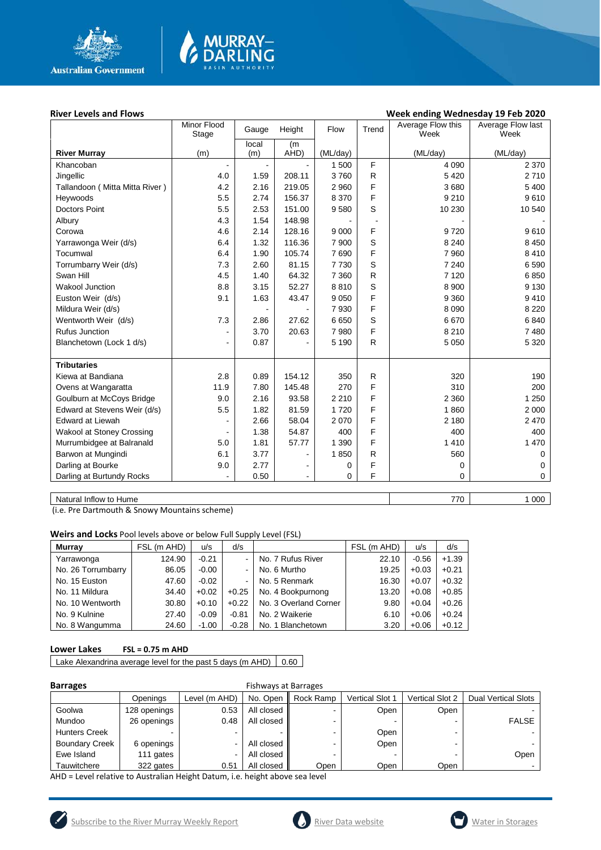

# MURRAY-<br>DARLING

#### River Levels and Flows **River Levels and Flows Week ending Wednesday 19 Feb 2020**

|                                | Minor Flood<br>Stage | Gauge | Height         | Flow     | Trend        | Average Flow this<br>Week | Average Flow last<br>Week |
|--------------------------------|----------------------|-------|----------------|----------|--------------|---------------------------|---------------------------|
|                                |                      | local | (m)            |          |              |                           |                           |
| <b>River Murray</b>            | (m)                  | (m)   | AHD)           | (ML/day) |              | (ML/day)                  | (ML/day)                  |
| Khancoban                      |                      |       |                | 1500     | F            | 4 0 9 0                   | 2 3 7 0                   |
| Jingellic                      | 4.0                  | 1.59  | 208.11         | 3760     | R            | 5 4 20                    | 2710                      |
| Tallandoon (Mitta Mitta River) | 4.2                  | 2.16  | 219.05         | 2 9 6 0  | F            | 3680                      | 5 400                     |
| Heywoods                       | 5.5                  | 2.74  | 156.37         | 8 3 7 0  | F            | 9 2 1 0                   | 9610                      |
| <b>Doctors Point</b>           | 5.5                  | 2.53  | 151.00         | 9580     | S            | 10 230                    | 10 540                    |
| Albury                         | 4.3                  | 1.54  | 148.98         |          |              |                           |                           |
| Corowa                         | 4.6                  | 2.14  | 128.16         | 9 0 0 0  | F            | 9720                      | 9610                      |
| Yarrawonga Weir (d/s)          | 6.4                  | 1.32  | 116.36         | 7 900    | S            | 8 2 4 0                   | 8 4 5 0                   |
| Tocumwal                       | 6.4                  | 1.90  | 105.74         | 7690     | F            | 7 9 6 0                   | 8410                      |
| Torrumbarry Weir (d/s)         | 7.3                  | 2.60  | 81.15          | 7730     | S            | 7 2 4 0                   | 6 5 9 0                   |
| Swan Hill                      | 4.5                  | 1.40  | 64.32          | 7 3 6 0  | R            | 7 1 2 0                   | 6850                      |
| <b>Wakool Junction</b>         | 8.8                  | 3.15  | 52.27          | 8810     | S            | 8 9 0 0                   | 9 1 3 0                   |
| Euston Weir (d/s)              | 9.1                  | 1.63  | 43.47          | 9 0 5 0  | F            | 9 3 6 0                   | 9410                      |
| Mildura Weir (d/s)             |                      |       |                | 7930     | F            | 8 0 9 0                   | 8 2 2 0                   |
| Wentworth Weir (d/s)           | 7.3                  | 2.86  | 27.62          | 6650     | S            | 6670                      | 6840                      |
| <b>Rufus Junction</b>          |                      | 3.70  | 20.63          | 7980     | F            | 8 2 1 0                   | 7480                      |
| Blanchetown (Lock 1 d/s)       |                      | 0.87  |                | 5 1 9 0  | $\mathsf{R}$ | 5 0 5 0                   | 5 3 2 0                   |
|                                |                      |       |                |          |              |                           |                           |
| <b>Tributaries</b>             |                      |       |                |          |              |                           |                           |
| Kiewa at Bandiana              | 2.8                  | 0.89  | 154.12         | 350      | $\mathsf{R}$ | 320                       | 190                       |
| Ovens at Wangaratta            | 11.9                 | 7.80  | 145.48         | 270      | F            | 310                       | 200                       |
| Goulburn at McCoys Bridge      | 9.0                  | 2.16  | 93.58          | 2 2 1 0  | F            | 2 3 6 0                   | 1 2 5 0                   |
| Edward at Stevens Weir (d/s)   | 5.5                  | 1.82  | 81.59          | 1720     | F            | 1860                      | 2 0 0 0                   |
| <b>Edward at Liewah</b>        |                      | 2.66  | 58.04          | 2070     | F            | 2 180                     | 2 4 7 0                   |
| Wakool at Stoney Crossing      |                      | 1.38  | 54.87          | 400      | F            | 400                       | 400                       |
| Murrumbidgee at Balranald      | 5.0                  | 1.81  | 57.77          | 1 3 9 0  | F            | 1410                      | 1 470                     |
| Barwon at Mungindi             | 6.1                  | 3.77  | $\overline{a}$ | 1850     | $\mathsf{R}$ | 560                       | $\Omega$                  |
| Darling at Bourke              | 9.0                  | 2.77  |                | 0        | F            | 0                         | $\Omega$                  |
| Darling at Burtundy Rocks      |                      | 0.50  |                | 0        | F            | 0                         | $\mathbf 0$               |
|                                |                      |       |                |          |              |                           |                           |

Natural Inflow to Hume 1 000

(i.e. Pre Dartmouth & Snowy Mountains scheme)

**Weirs and Locks** Pool levels above or below Full Supply Level (FSL)

| <b>Murrav</b>      | FSL (m AHD) | u/s     | d/s     |                       | FSL (m AHD) | u/s     | d/s     |
|--------------------|-------------|---------|---------|-----------------------|-------------|---------|---------|
| Yarrawonga         | 124.90      | $-0.21$ |         | No. 7 Rufus River     | 22.10       | $-0.56$ | $+1.39$ |
| No. 26 Torrumbarry | 86.05       | $-0.00$ |         | No. 6 Murtho          | 19.25       | $+0.03$ | $+0.21$ |
| No. 15 Euston      | 47.60       | $-0.02$ |         | No. 5 Renmark         | 16.30       | $+0.07$ | $+0.32$ |
| No. 11 Mildura     | 34.40       | $+0.02$ | $+0.25$ | No. 4 Bookpurnong     | 13.20       | $+0.08$ | $+0.85$ |
| No. 10 Wentworth   | 30.80       | $+0.10$ | $+0.22$ | No. 3 Overland Corner | 9.80        | $+0.04$ | $+0.26$ |
| No. 9 Kulnine      | 27.40       | $-0.09$ | $-0.81$ | No. 2 Waikerie        | 6.10        | $+0.06$ | $+0.24$ |
| No. 8 Wangumma     | 24.60       | $-1.00$ | $-0.28$ | No. 1 Blanchetown     | 3.20        | $+0.06$ | $+0.12$ |

#### **Lower Lakes FSL = 0.75 m AHD**

Lake Alexandrina average level for the past 5 days (m AHD)  $\Big| 0.60 \Big|$ 

| <b>Barrages</b>                                                              |              |                          | <b>Fishways at Barrages</b> |           |                        |                        |                            |
|------------------------------------------------------------------------------|--------------|--------------------------|-----------------------------|-----------|------------------------|------------------------|----------------------------|
|                                                                              | Openings     | Level (m AHD)            | No. Open                    | Rock Ramp | <b>Vertical Slot 1</b> | <b>Vertical Slot 2</b> | <b>Dual Vertical Slots</b> |
| Goolwa                                                                       | 128 openings | 0.53                     | All closed                  |           | Open                   | Open                   |                            |
| Mundoo                                                                       | 26 openings  | 0.48                     | All closed                  |           |                        |                        | <b>FALSE</b>               |
| <b>Hunters Creek</b>                                                         |              | -                        |                             | -         | Open                   |                        |                            |
| <b>Boundary Creek</b>                                                        | 6 openings   | $\overline{\phantom{0}}$ | All closed                  |           | Open                   |                        |                            |
| Ewe Island                                                                   | 111 gates    | $\blacksquare$           | All closed                  |           |                        |                        | Oper                       |
| Tauwitchere                                                                  | 322 gates    | 0.51                     | All closed                  | Open      | Open                   | Open                   |                            |
| AHD = Level relative to Australian Height Datum, i.e. height above sea level |              |                          |                             |           |                        |                        |                            |

Subscribe to the River Murray Weekly Report [River Data website](https://riverdata.mdba.gov.au/) [Water in Storages](https://www.mdba.gov.au/managing-water/water-storage) Í